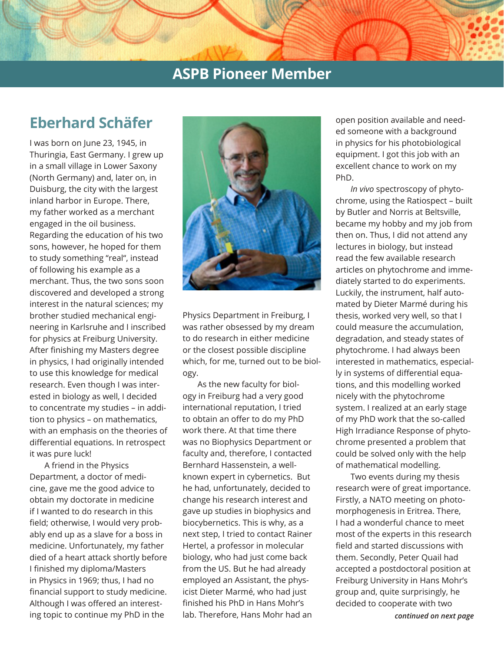# **ASPB Pioneer Member**

# **Eberhard Schäfer**

I was born on June 23, 1945, in Thuringia, East Germany. I grew up in a small village in Lower Saxony (North Germany) and, later on, in Duisburg, the city with the largest inland harbor in Europe. There, my father worked as a merchant engaged in the oil business. Regarding the education of his two sons, however, he hoped for them to study something "real", instead of following his example as a merchant. Thus, the two sons soon discovered and developed a strong interest in the natural sciences; my brother studied mechanical engineering in Karlsruhe and I inscribed for physics at Freiburg University. After finishing my Masters degree in physics, I had originally intended to use this knowledge for medical research. Even though I was interested in biology as well, I decided to concentrate my studies – in addition to physics – on mathematics, with an emphasis on the theories of differential equations. In retrospect it was pure luck!

A friend in the Physics Department, a doctor of medicine, gave me the good advice to obtain my doctorate in medicine if I wanted to do research in this field; otherwise, I would very probably end up as a slave for a boss in medicine. Unfortunately, my father died of a heart attack shortly before I finished my diploma/Masters in Physics in 1969; thus, I had no financial support to study medicine. Although I was offered an interesting topic to continue my PhD in the



Physics Department in Freiburg, I was rather obsessed by my dream to do research in either medicine or the closest possible discipline which, for me, turned out to be biology.

As the new faculty for biology in Freiburg had a very good international reputation, I tried to obtain an offer to do my PhD work there. At that time there was no Biophysics Department or faculty and, therefore, I contacted Bernhard Hassenstein, a wellknown expert in cybernetics. But he had, unfortunately, decided to change his research interest and gave up studies in biophysics and biocybernetics. This is why, as a next step, I tried to contact Rainer Hertel, a professor in molecular biology, who had just come back from the US. But he had already employed an Assistant, the physicist Dieter Marmé, who had just finished his PhD in Hans Mohr's lab. Therefore, Hans Mohr had an open position available and needed someone with a background in physics for his photobiological equipment. I got this job with an excellent chance to work on my PhD.

*In vivo* spectroscopy of phytochrome, using the Ratiospect – built by Butler and Norris at Beltsville, became my hobby and my job from then on. Thus, I did not attend any lectures in biology, but instead read the few available research articles on phytochrome and immediately started to do experiments. Luckily, the instrument, half automated by Dieter Marmé during his thesis, worked very well, so that I could measure the accumulation, degradation, and steady states of phytochrome. I had always been interested in mathematics, especially in systems of differential equations, and this modelling worked nicely with the phytochrome system. I realized at an early stage of my PhD work that the so-called High Irradiance Response of phytochrome presented a problem that could be solved only with the help of mathematical modelling.

Two events during my thesis research were of great importance. Firstly, a NATO meeting on photomorphogenesis in Eritrea. There, I had a wonderful chance to meet most of the experts in this research field and started discussions with them. Secondly, Peter Quail had accepted a postdoctoral position at Freiburg University in Hans Mohr's group and, quite surprisingly, he decided to cooperate with two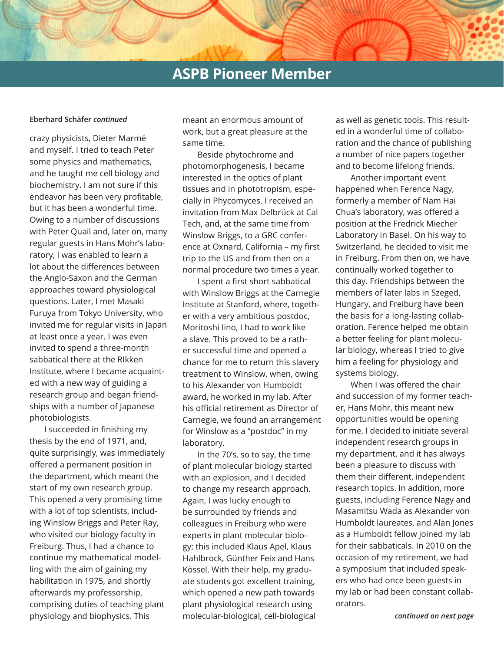### **ASPB Pioneer Member**

crazy physicists, Dieter Marmé and myself. I tried to teach Peter some physics and mathematics, and he taught me cell biology and biochemistry. I am not sure if this endeavor has been very profitable, but it has been a wonderful time. Owing to a number of discussions with Peter Quail and, later on, many regular guests in Hans Mohr's laboratory, I was enabled to learn a lot about the differences between the Anglo-Saxon and the German approaches toward physiological questions. Later, I met Masaki Furuya from Tokyo University, who invited me for regular visits in Japan at least once a year. I was even invited to spend a three-month sabbatical there at the RIkken Institute, where I became acquainted with a new way of guiding a research group and began friendships with a number of Japanese photobiologists.

I succeeded in finishing my thesis by the end of 1971, and, quite surprisingly, was immediately offered a permanent position in the department, which meant the start of my own research group. This opened a very promising time with a lot of top scientists, including Winslow Briggs and Peter Ray, who visited our biology faculty in Freiburg. Thus, I had a chance to continue my mathematical modelling with the aim of gaining my habilitation in 1975, and shortly afterwards my professorship, comprising duties of teaching plant physiology and biophysics. This *continued on next page* molecular-biological, cell-biological

**Eberhard Schäfer** *continued* meant an enormous amount of work, but a great pleasure at the same time.

> Beside phytochrome and photomorphogenesis, I became interested in the optics of plant tissues and in phototropism, especially in Phycomyces. I received an invitation from Max Delbrück at Cal Tech, and, at the same time from Winslow Briggs, to a GRC conference at Oxnard, California – my first trip to the US and from then on a normal procedure two times a year.

> I spent a first short sabbatical with Winslow Briggs at the Carnegie Institute at Stanford, where, together with a very ambitious postdoc, Moritoshi Iino, I had to work like a slave. This proved to be a rather successful time and opened a chance for me to return this slavery treatment to Winslow, when, owing to his Alexander von Humboldt award, he worked in my lab. After his official retirement as Director of Carnegie, we found an arrangement for Winslow as a "postdoc" in my laboratory.

In the 70's, so to say, the time of plant molecular biology started with an explosion, and I decided to change my research approach. Again, I was lucky enough to be surrounded by friends and colleagues in Freiburg who were experts in plant molecular biology; this included Klaus Apel, Klaus Hahlbrock, Günther Feix and Hans Kössel. With their help, my graduate students got excellent training, which opened a new path towards plant physiological research using

as well as genetic tools. This resulted in a wonderful time of collaboration and the chance of publishing a number of nice papers together and to become lifelong friends.

Another important event happened when Ference Nagy, formerly a member of Nam Hai Chua's laboratory, was offered a position at the Fredrick Miecher Laboratory in Basel. On his way to Switzerland, he decided to visit me in Freiburg. From then on, we have continually worked together to this day. Friendships between the members of later labs in Szeged, Hungary, and Freiburg have been the basis for a long-lasting collaboration. Ference helped me obtain a better feeling for plant molecular biology, whereas I tried to give him a feeling for physiology and systems biology.

When I was offered the chair and succession of my former teacher, Hans Mohr, this meant new opportunities would be opening for me. I decided to initiate several independent research groups in my department, and it has always been a pleasure to discuss with them their different, independent research topics. In addition, more guests, including Ference Nagy and Masamitsu Wada as Alexander von Humboldt laureates, and Alan Jones as a Humboldt fellow joined my lab for their sabbaticals. In 2010 on the occasion of my retirement, we had a symposium that included speakers who had once been guests in my lab or had been constant collaborators.